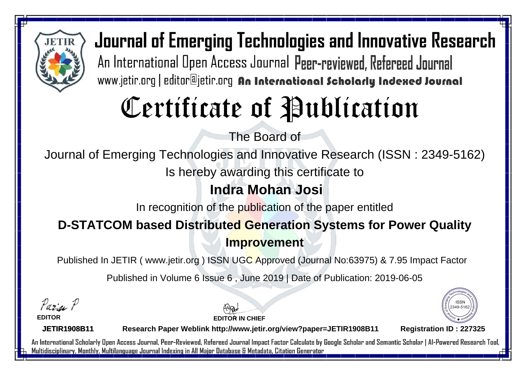

Journal of Emerging Technologies and Innovative Research An International Open Access Journal Peer-reviewed, Refereed Journal www.jetir.org | editor@jetir.org An International Scholarly Indexed Journal

# Certificate of Publication

The Board of

Journal of Emerging Technologies and Innovative Research (ISSN : 2349-5162)

Is hereby awarding this certificate to

### **Indra Mohan Josi**

In recognition of the publication of the paper entitled

### **D-STATCOM based Distributed Generation Systems for Power Quality Improvement**

Published In JETIR ( www.jetir.org ) ISSN UGC Approved (Journal No: 63975) & 7.95 Impact Factor

Published in Volume 6 Issue 6 , June 2019 | Date of Publication: 2019-06-05

Parin P

**EDITOR**

**EDITOR IN CHIEF**



**JETIR1908B11**

**Research Paper Weblink http://www.jetir.org/view?paper=JETIR1908B11 Registration ID : 227325**

An International Scholarly Open Access Journal, Peer-Reviewed, Refereed Journal Impact Factor Calculate by Google Scholar and Semantic Scholar | Al-Powered Research Tool, Multidisciplinary, Monthly, Multilanguage Journal Indexing in All Major Database & Metadata, Citation Generator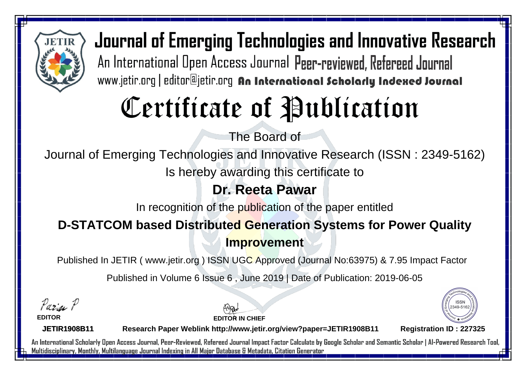

Journal of Emerging Technologies and Innovative Research An International Open Access Journal Peer-reviewed, Refereed Journal www.jetir.org | editor@jetir.org An International Scholarly Indexed Journal

# Certificate of Publication

The Board of

Journal of Emerging Technologies and Innovative Research (ISSN : 2349-5162)

Is hereby awarding this certificate to

### **Dr. Reeta Pawar**

In recognition of the publication of the paper entitled

### **D-STATCOM based Distributed Generation Systems for Power Quality Improvement**

Published In JETIR ( www.jetir.org ) ISSN UGC Approved (Journal No: 63975) & 7.95 Impact Factor

Published in Volume 6 Issue 6 , June 2019 | Date of Publication: 2019-06-05

Parin P

**EDITOR**





**JETIR1908B11**

**Research Paper Weblink http://www.jetir.org/view?paper=JETIR1908B11 Registration ID : 227325**

An International Scholarly Open Access Journal, Peer-Reviewed, Refereed Journal Impact Factor Calculate by Google Scholar and Semantic Scholar | Al-Powered Research Tool, Multidisciplinary, Monthly, Multilanguage Journal Indexing in All Major Database & Metadata, Citation Generator